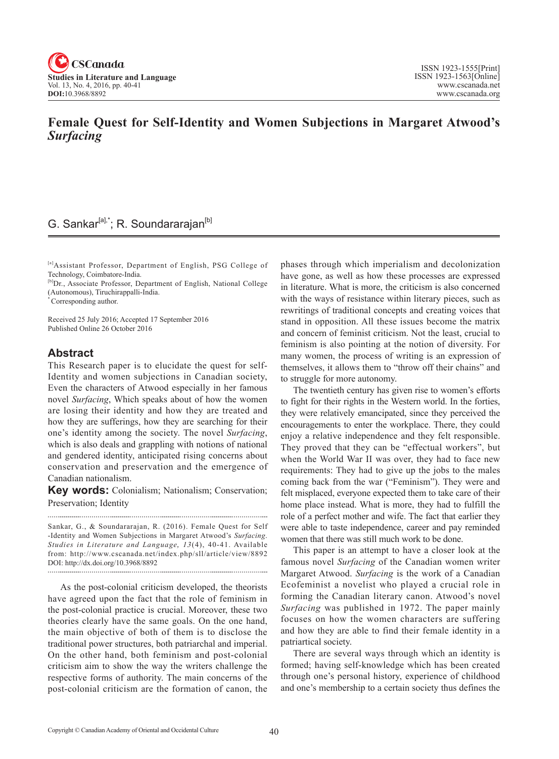

## **Female Quest for Self-Identity and Women Subjections in Margaret Atwood's** *Surfacing*

## G. Sankar<sup>[a],\*</sup>; R. Soundararajan<sup>[b]</sup>

[a]Assistant Professor, Department of English, PSG College of Technology, Coimbatore-India.

[b]Dr., Associate Professor, Department of English, National College (Autonomous), Tiruchirappalli-India.

\* Corresponding author.

Received 25 July 2016; Accepted 17 September 2016 Published Online 26 October 2016

## **Abstract**

This Research paper is to elucidate the quest for self-Identity and women subjections in Canadian society, Even the characters of Atwood especially in her famous novel *Surfacing*, Which speaks about of how the women are losing their identity and how they are treated and how they are sufferings, how they are searching for their one's identity among the society. The novel *Surfacing*, which is also deals and grappling with notions of national and gendered identity, anticipated rising concerns about conservation and preservation and the emergence of Canadian nationalism.

**Key words:** Colonialism; Nationalism; Conservation; Preservation; Identity

Sankar, G., & Soundararajan, R. (2016). Female Quest for Self -Identity and Women Subjections in Margaret Atwood's *Surfacing*. *Studies in Literature and Language*, <sup>13</sup> (4), 40-41. Available from: http://www.cscanada.net/index.php/sll/article/view/8892 DOI: http://dx.doi.org/10.3968/8892

As the post-colonial criticism developed, the theorists have agreed upon the fact that the role of feminism in the post-colonial practice is crucial. Moreover, these two theories clearly have the same goals. On the one hand, the main objective of both of them is to disclose the traditional power structures, both patriarchal and imperial. On the other hand, both feminism and post-colonial criticism aim to show the way the writers challenge the respective forms of authority. The main concerns of the post-colonial criticism are the formation of canon, the phases through which imperialism and decolonization have gone, as well as how these processes are expressed in literature. What is more, the criticism is also concerned with the ways of resistance within literary pieces, such as rewritings of traditional concepts and creating voices that stand in opposition. All these issues become the matrix and concern of feminist criticism. Not the least, crucial to feminism is also pointing at the notion of diversity. For many women, the process of writing is an expression of themselves, it allows them to "throw off their chains" and to struggle for more autonomy.

The twentieth century has given rise to women's efforts to fight for their rights in the Western world. In the forties, they were relatively emancipated, since they perceived the encouragements to enter the workplace. There, they could enjoy a relative independence and they felt responsible. They proved that they can be "effectual workers", but when the World War II was over, they had to face new requirements: They had to give up the jobs to the males coming back from the war ("Feminism"). They were and felt misplaced, everyone expected them to take care of their home place instead. What is more, they had to fulfill the role of a perfect mother and wife. The fact that earlier they were able to taste independence, career and pay reminded women that there was still much work to be done.

This paper is an attempt to have a closer look at the famous novel *Surfacing* of the Canadian women writer Margaret Atwood. *Surfacing* is the work of a Canadian Ecofeminist a novelist who played a crucial role in forming the Canadian literary canon. Atwood's novel *Surfacing* was published in 1972. The paper mainly focuses on how the women characters are suffering and how they are able to find their female identity in a patriartical society.

There are several ways through which an identity is formed; having self-knowledge which has been created through one's personal history, experience of childhood and one's membership to a certain society thus defines the